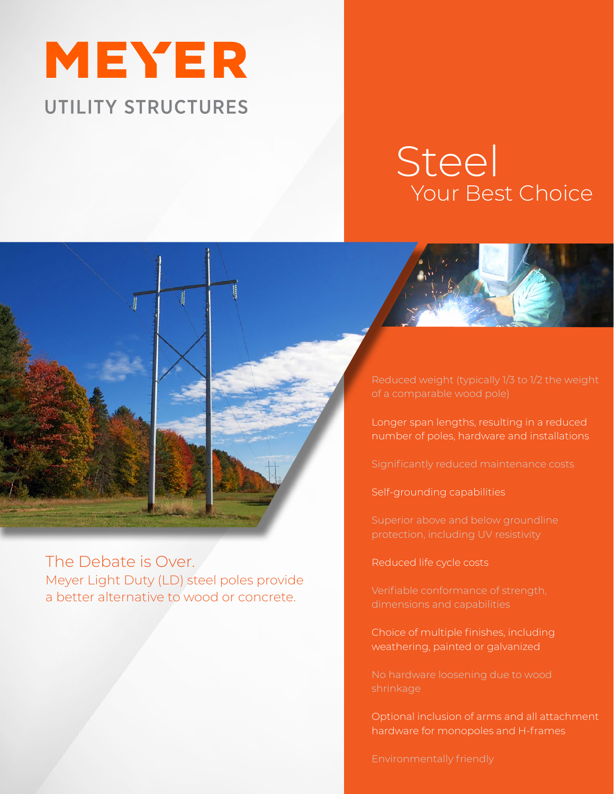

# **Steel** Your Best Choice



The Debate is Over. Meyer Light Duty (LD) steel poles provide a better alternative to wood or concrete.

of a comparable wood pole)

Longer span lengths, resulting in a reduced number of poles, hardware and installations

Self-grounding capabilities

Reduced life cycle costs

dimensions and capabilities

Choice of multiple finishes, including weathering, painted or galvanized

Optional inclusion of arms and all attachment hardware for monopoles and H-frames